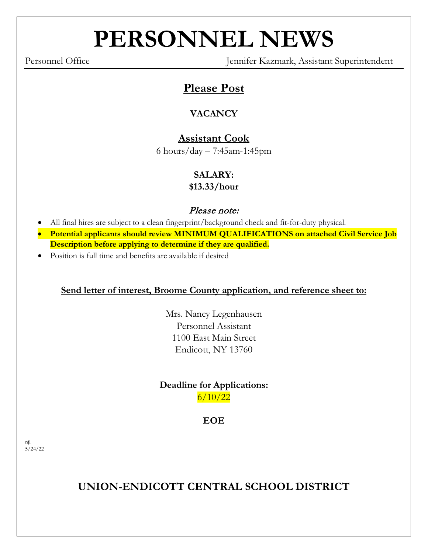# **PERSONNEL NEWS**

Personnel Office Jennifer Kazmark, Assistant Superintendent

# **Please Post**

## **VACANCY**

## **Assistant Cook**

6 hours/day – 7:45am-1:45pm

## **SALARY:**

**\$13.33/hour**

### Please note:

- All final hires are subject to a clean fingerprint/background check and fit-for-duty physical.
- **Potential applicants should review MINIMUM QUALIFICATIONS on attached Civil Service Job Description before applying to determine if they are qualified.**
- Position is full time and benefits are available if desired

#### **Send letter of interest, Broome County application, and reference sheet to:**

Mrs. Nancy Legenhausen Personnel Assistant 1100 East Main Street Endicott, NY 13760

#### **Deadline for Applications:**  $6/10/22$

**EOE**

njl  $5/24/22$ 

**UNION-ENDICOTT CENTRAL SCHOOL DISTRICT**